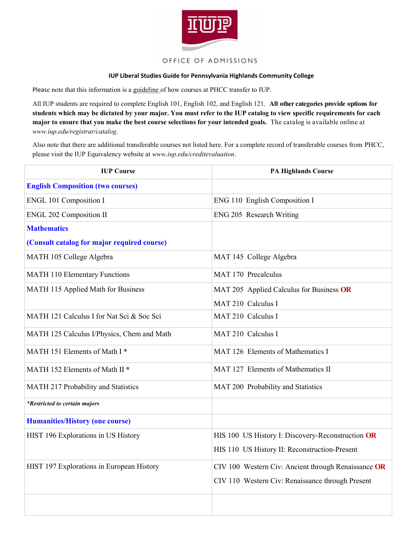

## OFFICE OF ADMISSIONS

## **IUP Liberal Studies Guide for Pennsylvania Highlands Community College**

Please note that this information is a guideline of how courses at PHCC transfer to IUP.

All IUP students are required to complete English 101, English 102, and English 121. **All other categories provide options for students which may be dictated by your major. You must refer to the IUP catalog to view specific requirements for each major to ensure that you make the best course selections for your intended goals.** The catalog is available online at *www.iup.edu/registrar/catalog*.

Also note that there are additional transferable courses not listed here. For a complete record of transferable courses from PHCC, please visit the IUP Equivalency website at *www.iup.edu/creditevaluation*.

| <b>IUP Course</b>                           | <b>PA Highlands Course</b>                          |
|---------------------------------------------|-----------------------------------------------------|
| <b>English Composition (two courses)</b>    |                                                     |
| <b>ENGL 101 Composition I</b>               | ENG 110 English Composition I                       |
| <b>ENGL 202 Composition II</b>              | ENG 205 Research Writing                            |
| <b>Mathematics</b>                          |                                                     |
| (Consult catalog for major required course) |                                                     |
| MATH 105 College Algebra                    | MAT 145 College Algebra                             |
| <b>MATH 110 Elementary Functions</b>        | MAT 170 Precalculus                                 |
| MATH 115 Applied Math for Business          | MAT 205 Applied Calculus for Business OR            |
|                                             | MAT 210 Calculus I                                  |
| MATH 121 Calculus I for Nat Sci & Soc Sci   | MAT 210 Calculus I                                  |
| MATH 125 Calculus I/Physics, Chem and Math  | MAT 210 Calculus I                                  |
| MATH 151 Elements of Math I*                | MAT 126 Elements of Mathematics I                   |
| MATH 152 Elements of Math II <sup>*</sup>   | MAT 127 Elements of Mathematics II                  |
| MATH 217 Probability and Statistics         | MAT 200 Probability and Statistics                  |
| <i>*Restricted to certain majors</i>        |                                                     |
| <b>Humanities/History (one course)</b>      |                                                     |
| HIST 196 Explorations in US History         | HIS 100 US History I: Discovery-Reconstruction OR   |
|                                             | HIS 110 US History II: Reconstruction-Present       |
| HIST 197 Explorations in European History   | CIV 100 Western Civ: Ancient through Renaissance OR |
|                                             | CIV 110 Western Civ: Renaissance through Present    |
|                                             |                                                     |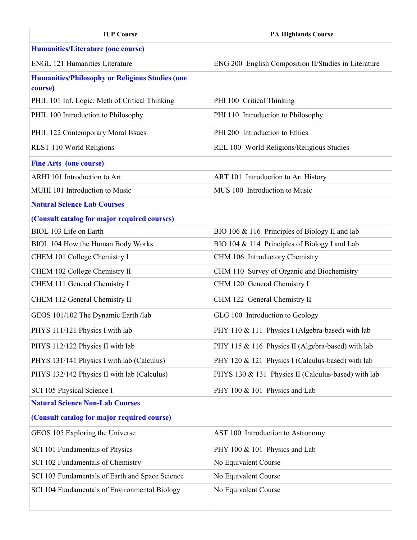| <b>IUP Course</b>                                                 | <b>PA Highlands Course</b>                           |
|-------------------------------------------------------------------|------------------------------------------------------|
| <b>Humanities/Literature (one course)</b>                         |                                                      |
| <b>ENGL 121 Humanities Literature</b>                             | ENG 200 English Composition II/Studies in Literature |
| <b>Humanities/Philosophy or Religious Studies (one</b><br>course) |                                                      |
| PHIL 101 Inf. Logic: Meth of Critical Thinking                    | PHI 100 Critical Thinking                            |
| PHIL 100 Introduction to Philosophy                               | PHI 110 Introduction to Philosophy                   |
| PHIL 122 Contemporary Moral Issues                                | PHI 200 Introduction to Ethics                       |
| RLST 110 World Religions                                          | REL 100 World Religions/Religious Studies            |
| <b>Fine Arts (one course)</b>                                     |                                                      |
| ARHI 101 Introduction to Art                                      | ART 101 Introduction to Art History                  |
| MUHI 101 Introduction to Music                                    | MUS 100 Introduction to Music                        |
| <b>Natural Science Lab Courses</b>                                |                                                      |
| (Consult catalog for major required courses)                      |                                                      |
| BIOL 103 Life on Earth                                            | BIO 106 & 116 Principles of Biology II and lab       |
| BIOL 104 How the Human Body Works                                 | BIO 104 & 114 Principles of Biology I and Lab        |
| CHEM 101 College Chemistry I                                      | CHM 106 Introductory Chemistry                       |
| CHEM 102 College Chemistry II                                     | CHM 110 Survey of Organic and Biochemistry           |
| CHEM 111 General Chemistry I                                      | CHM 120 General Chemistry I                          |
| CHEM 112 General Chemistry II                                     | CHM 122 General Chemistry II                         |
| GEOS 101/102 The Dynamic Earth /lab                               | GLG 100 Introduction to Geology                      |
| PHYS 111/121 Physics I with lab                                   | PHY 110 & 111 Physics I (Algebra-based) with lab     |
| PHYS 112/122 Physics II with lab                                  | PHY 115 & 116 Physics II (Algebra-based) with lab    |
| PHYS 131/141 Physics I with lab (Calculus)                        | PHY 120 & 121 Physics I (Calculus-based) with lab    |
| PHYS 132/142 Physics II with lab (Calculus)                       | PHYS 130 & 131 Physics II (Calculus-based) with lab  |
| SCI 105 Physical Science I                                        | PHY 100 & 101 Physics and Lab                        |
| <b>Natural Science Non-Lab Courses</b>                            |                                                      |
| (Consult catalog for major required course)                       |                                                      |
| GEOS 105 Exploring the Universe                                   | AST 100 Introduction to Astronomy                    |
| SCI 101 Fundamentals of Physics                                   | PHY 100 & 101 Physics and Lab                        |
| SCI 102 Fundamentals of Chemistry                                 | No Equivalent Course                                 |
| SCI 103 Fundamentals of Earth and Space Science                   | No Equivalent Course                                 |
| SCI 104 Fundamentals of Environmental Biology                     | No Equivalent Course                                 |
|                                                                   |                                                      |